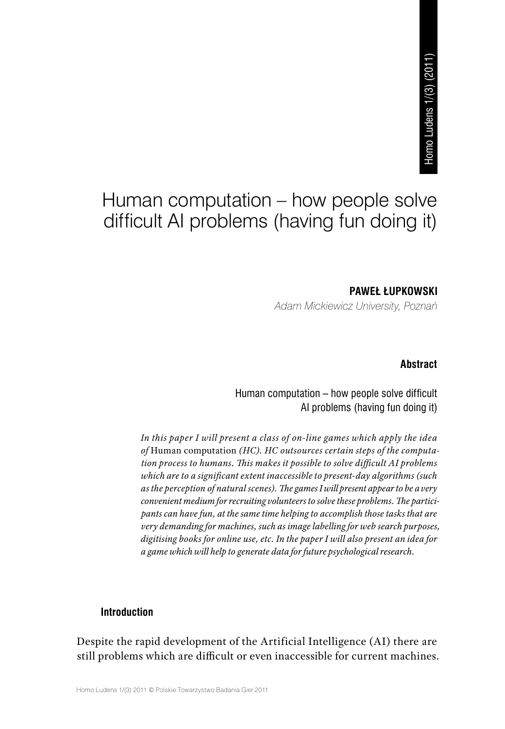# Human computation – how people solve difficult AI problems (having fun doing it)

### **PAWEŁ ŁUPKOWSKI**

*Adam Mickiewicz University, Poznań*

#### **Abstract**

# Human computation – how people solve difficult AI problems (having fun doing it)

*In this paper I will present a class of on‑line games which apply the idea of* Human computation *(HC). HC outsources certain steps of the computa‑ tion process to humans. This makes it possible to solve difficult AI problems which are to a significant extent inaccessible to present‑day algorithms (such as the perception of natural scenes). The games I will present appear to be a very convenient medium for recruiting volunteers to solve these problems. The partici‑ pants can have fun, at the same time helping to accomplish those tasks that are very demanding for machines, such as image labelling for web search purposes, digitising books for online use, etc. In the paper I will also present an idea for a game which will help to generate data for future psychological research.* **State of the computation in the difficult of the Artificial Intelligence (AI) there are difficultion**<br> **Example 5 and Computation** (having fun doing it)<br> **PAWEL EUPKOWSKI**<br>
PAWEL EUPKOWSKI<br>
Homan computation – how people

## **Introduction**

Despite the rapid development of the Artificial Intelligence (AI) there are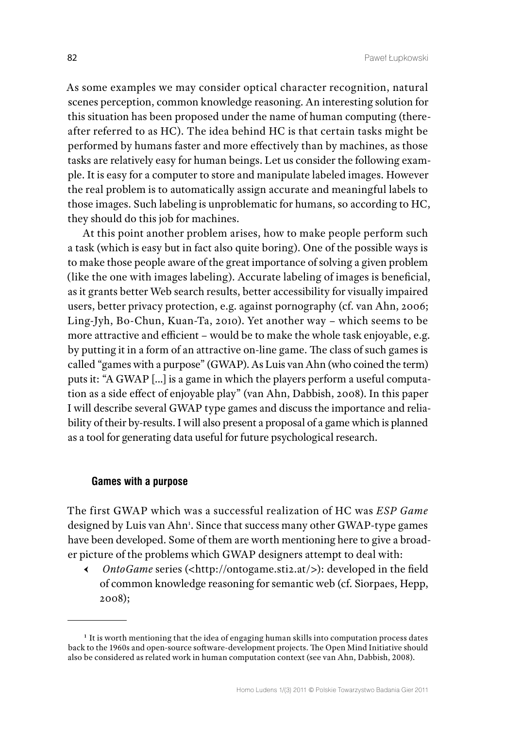As some examples we may consider optical character recognition, natural scenes perception, common knowledge reasoning. An interesting solution for this situation has been proposed under the name of human computing (thereafter referred to as HC). The idea behind HC is that certain tasks might be performed by humans faster and more effectively than by machines, as those tasks are relatively easy for human beings. Let us consider the following example. It is easy for a computer to store and manipulate labeled images. However the real problem is to automatically assign accurate and meaningful labels to those images. Such labeling is unproblematic for humans, so according to HC, they should do this job for machines.

At this point another problem arises, how to make people perform such a task (which is easy but in fact also quite boring). One of the possible ways is to make those people aware of the great importance of solving a given problem (like the one with images labeling). Accurate labeling of images is beneficial, as it grants better Web search results, better accessibility for visually impaired users, better privacy protection, e.g. against pornography (cf. van Ahn, 2006; Ling-Jyh, Bo-Chun, Kuan-Ta, 2010). Yet another way – which seems to be more attractive and efficient – would be to make the whole task enjoyable, e.g. by putting it in a form of an attractive on-line game. The class of such games is called "games with a purpose" (GWAP). As Luis van Ahn (who coined the term) puts it: "A GWAP [...] is a game in which the players perform a useful computation as a side effect of enjoyable play" (van Ahn, Dabbish, 2008). In this paper I will describe several GWAP type games and discuss the importance and reliability of their by-results. I will also present a proposal of a game which is planned as a tool for generating data useful for future psychological research.

#### **Games with a purpose**

The first GWAP which was a successful realization of HC was *ESP Game* designed by Luis van Ahn<sup>1</sup>. Since that success many other GWAP-type games have been developed. Some of them are worth mentioning here to give a broader picture of the problems which GWAP designers attempt to deal with:

Ԁ *OntoGame* series (<http://ontogame.sti2.at/>): developed in the field of common knowledge reasoning for semantic web (cf. Siorpaes, Hepp, 2008);

<sup>&</sup>lt;sup>1</sup> It is worth mentioning that the idea of engaging human skills into computation process dates back to the 1960s and open‑source software‑development projects. The Open Mind Initiative should also be considered as related work in human computation context (see van Ahn, Dabbish, 2008).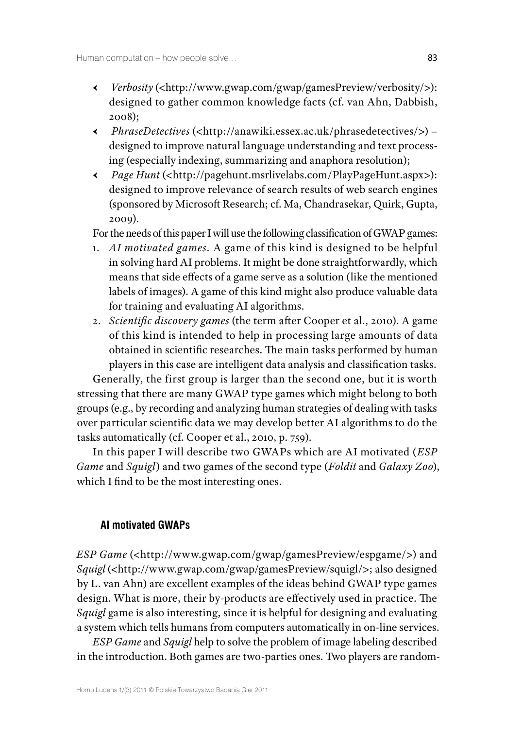- Ԁ *Verbosity* (<http://www.gwap.com/gwap/gamesPreview/verbosity/>): designed to gather common knowledge facts (cf. van Ahn, Dabbish, 2008);
- Ԁ *PhraseDetectives* (<http://anawiki.essex.ac.uk/phrasedetectives/>) designed to improve natural language understanding and text processing (especially indexing, summarizing and anaphora resolution);
- Ԁ *Page Hunt* (<http://pagehunt.msrlivelabs.com/PlayPageHunt.aspx>): designed to improve relevance of search results of web search engines (sponsored by Microsoft Research; cf. Ma, Chandrasekar, Quirk, Gupta, 2009).

For the needs of this paper I will use the following classification of GWAP games:

- 1. *AI motivated games.* A game of this kind is designed to be helpful in solving hard AI problems. It might be done straightforwardly, which means that side effects of a game serve as a solution (like the mentioned labels of images). A game of this kind might also produce valuable data for training and evaluating AI algorithms.
- 2. *Scientific discovery games* (the term after Cooper et al., 2010). A game of this kind is intended to help in processing large amounts of data obtained in scientific researches. The main tasks performed by human players in this case are intelligent data analysis and classification tasks.

Generally, the first group is larger than the second one, but it is worth stressing that there are many GWAP type games which might belong to both groups (e.g., by recording and analyzing human strategies of dealing with tasks over particular scientific data we may develop better AI algorithms to do the tasks automatically (cf. Cooper et al., 2010, p. 759).

In this paper I will describe two GWAPs which are AI motivated (*ESP Game* and *Squigl*) and two games of the second type (*Foldit* and *Galaxy Zoo*), which I find to be the most interesting ones.

## **AI motivated GWAPs**

*ESP Game* (<http://www.gwap.com/gwap/gamesPreview/espgame/>) and *Squigl* (<http://www.gwap.com/gwap/gamesPreview/squigl/>; also designed by L. van Ahn) are excellent examples of the ideas behind GWAP type games design. What is more, their by‑products are effectively used in practice. The *Squigl* game is also interesting, since it is helpful for designing and evaluating a system which tells humans from computers automatically in on-line services.

*ESP Game* and *Squigl* help to solve the problem of image labeling described in the introduction. Both games are two-parties ones. Two players are random-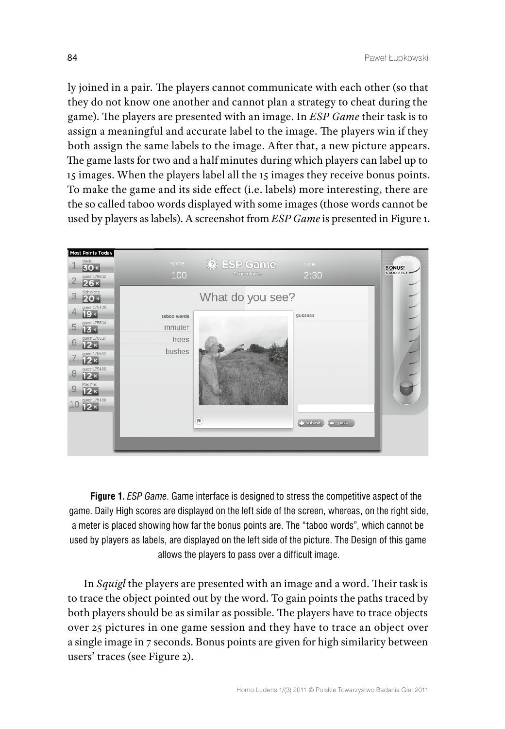ly joined in a pair. The players cannot communicate with each other (so that they do not know one another and cannot plan a strategy to cheat during the game). The players are presented with an image. In *ESP Game* their task is to assign a meaningful and accurate label to the image. The players win if they both assign the same labels to the image. After that, a new picture appears. The game lasts for two and a half minutes during which players can label up to 15 images. When the players label all the 15 images they receive bonus points. To make the game and its side effect (i.e. labels) more interesting, there are the so called taboo words displayed with some images (those words cannot be used by players as labels). A screenshot from *ESP Game* is presented in Figure 1.



**Figure 1.** *ESP Game*. Game interface is designed to stress the competitive aspect of the game. Daily High scores are displayed on the left side of the screen, whereas, on the right side, a meter is placed showing how far the bonus points are. The "taboo words", which cannot be used by players as labels, are displayed on the left side of the picture. The Design of this game allows the players to pass over a difficult image.

In *Squigl* the players are presented with an image and a word. Their task is to trace the object pointed out by the word. To gain points the paths traced by both players should be as similar as possible. The players have to trace objects over 25 pictures in one game session and they have to trace an object over a single image in 7 seconds. Bonus points are given for high similarity between users' traces (see Figure 2).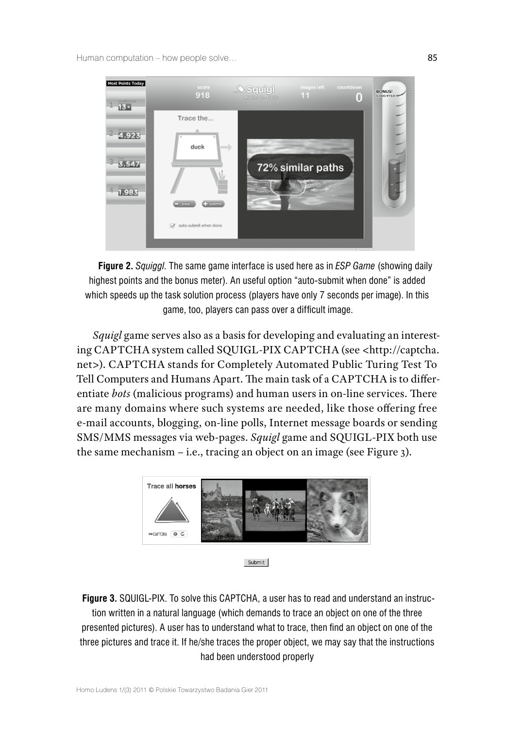Human computation – how people solve… example to the state of the state of the state of the state of the state of the state of the state of the state of the state of the state of the state of the state of the state of the



**Figure 2.** *Squiggl*. The same game interface is used here as in *ESP Game* (showing daily highest points and the bonus meter). An useful option "auto-submit when done" is added which speeds up the task solution process (players have only 7 seconds per image). In this game, too, players can pass over a difficult image.

*Squigl* game serves also as a basis for developing and evaluating an interesting CAPTCHA system called SQUIGL-PIX CAPTCHA (see <http://captcha. net>). CAPTCHA stands for Completely Automated Public Turing Test To Tell Computers and Humans Apart. The main task of a CAPTCHA is to differentiate *bots* (malicious programs) and human users in on‑line services. There are many domains where such systems are needed, like those offering free e-mail accounts, blogging, on-line polls, Internet message boards or sending SMS/MMS messages via web‑pages. *Squigl* game and SQUIGL‑PIX both use the same mechanism – i.e., tracing an object on an image (see Figure 3).



```
Submit
```
**Figure 3. SQUIGL-PIX.** To solve this CAPTCHA, a user has to read and understand an instruction written in a natural language (which demands to trace an object on one of the three presented pictures). A user has to understand what to trace, then find an object on one of the three pictures and trace it. If he/she traces the proper object, we may say that the instructions had been understood properly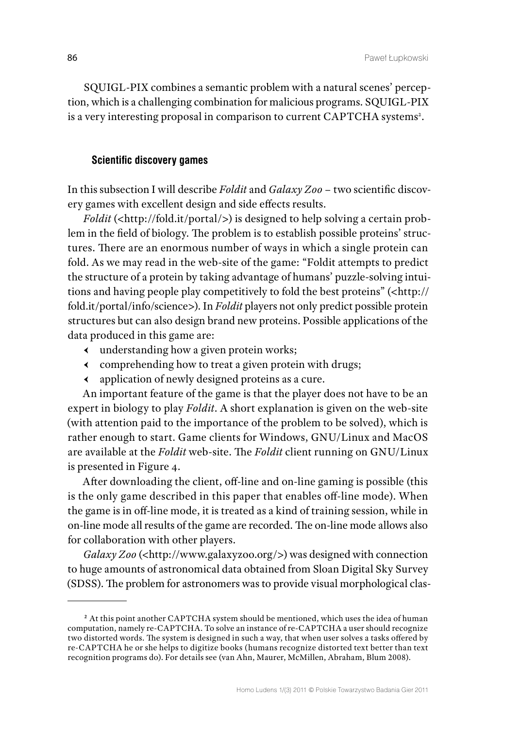SQUIGL-PIX combines a semantic problem with a natural scenes' perception, which is a challenging combination for malicious programs. SQUIGL-PIX is a very interesting proposal in comparison to current CAPTCHA systems<sup>2</sup>.

## **Scientific discovery games**

In this subsection I will describe *Foldit* and *Galaxy Zoo* – two scientific discovery games with excellent design and side effects results.

*Foldit* (<http://fold.it/portal/>) is designed to help solving a certain problem in the field of biology. The problem is to establish possible proteins' structures. There are an enormous number of ways in which a single protein can fold. As we may read in the web-site of the game: "Foldit attempts to predict the structure of a protein by taking advantage of humans' puzzle-solving intuitions and having people play competitively to fold the best proteins" (<http:// fold.it/portal/info/science>). In *Foldit* players not only predict possible protein structures but can also design brand new proteins. Possible applications of the data produced in this game are:

- Ԁ understanding how a given protein works;
- Ԁ comprehending how to treat a given protein with drugs;
- Ԁ application of newly designed proteins as a cure.

An important feature of the game is that the player does not have to be an expert in biology to play *Foldit*. A short explanation is given on the web-site (with attention paid to the importance of the problem to be solved), which is rather enough to start. Game clients for Windows, GNU/Linux and MacOS are available at the *Foldit* web‑site. The *Foldit* client running on GNU/Linux is presented in Figure 4.

After downloading the client, off-line and on-line gaming is possible (this is the only game described in this paper that enables off-line mode). When the game is in off-line mode, it is treated as a kind of training session, while in on‑line mode all results of the game are recorded. The on‑line mode allows also for collaboration with other players.

*Galaxy Zoo* (<http://www.galaxyzoo.org/>) was designed with connection to huge amounts of astronomical data obtained from Sloan Digital Sky Survey (SDSS). The problem for astronomers was to provide visual morphological clas‑

**<sup>2</sup>** At this point another CAPTCHA system should be mentioned, which uses the idea of human computation, namely re‑CAPTCHA. To solve an instance of re‑CAPTCHA a user should recognize two distorted words. The system is designed in such a way, that when user solves a tasks offered by re‑CAPTCHA he or she helps to digitize books (humans recognize distorted text better than text recognition programs do). For details see (van Ahn, Maurer, McMillen, Abraham, Blum 2008).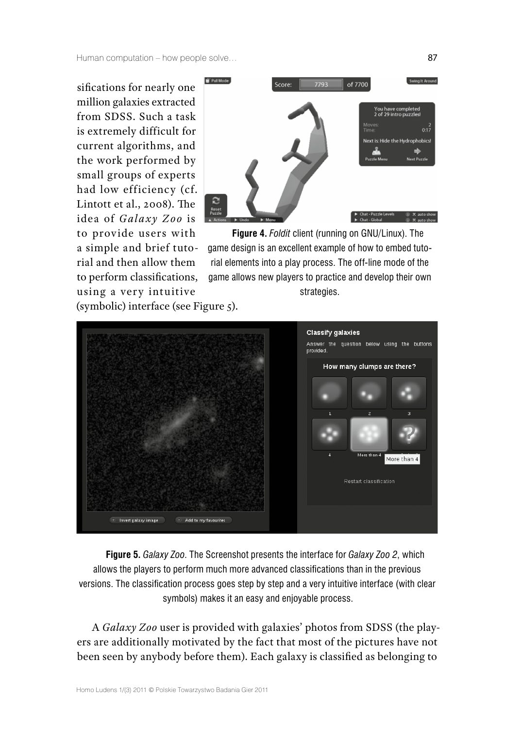Human computation – how people solve… 87

sifications for nearly one million galaxies extracted from SDSS. Such a task is extremely difficult for current algorithms, and the work performed by small groups of experts had low efficiency (cf. Lintott et al., 2008). The idea of *Galaxy Zoo* is to provide users with a simple and brief tutorial and then allow them to perform classifications, using a very intuitive



**Figure 4.** *Foldit* client (running on GNU/Linux). The game design is an excellent example of how to embed tutorial elements into a play process. The off-line mode of the game allows new players to practice and develop their own strategies.

(symbolic) interface (see Figure 5).



**Figure 5.** *Galaxy Zoo*. The Screenshot presents the interface for *Galaxy Zoo 2*, which allows the players to perform much more advanced classifications than in the previous versions. The classification process goes step by step and a very intuitive interface (with clear symbols) makes it an easy and enjoyable process.

A *Galaxy Zoo* user is provided with galaxies' photos from SDSS (the play‑ ers are additionally motivated by the fact that most of the pictures have not been seen by anybody before them). Each galaxy is classified as belonging to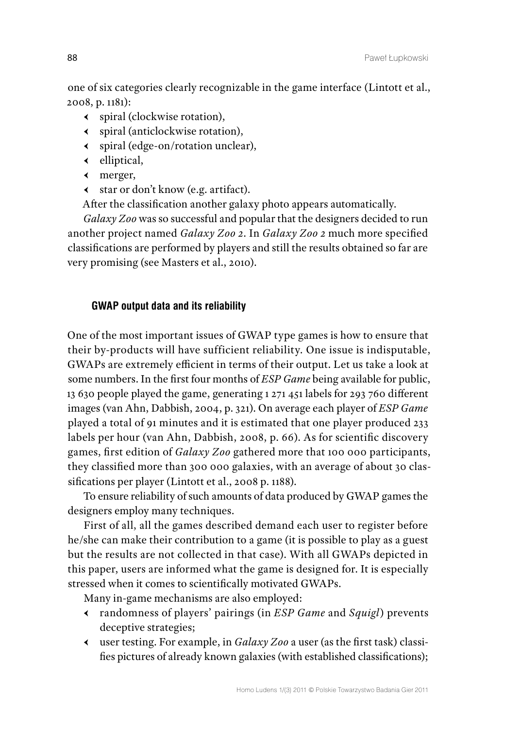one of six categories clearly recognizable in the game interface (Lintott et al., 2008, p. 1181):

- Ԁ spiral (clockwise rotation),
- Ԁ spiral (anticlockwise rotation),
- Ԁ spiral (edge‑on/rotation unclear),
- $\leftarrow$  elliptical,
- Ԁ merger,
- Ԁ star or don't know (e.g. artifact).

After the classification another galaxy photo appears automatically.

*Galaxy Zoo* was so successful and popular that the designers decided to run another project named *Galaxy Zoo 2*. In *Galaxy Zoo 2* much more specified classifications are performed by players and still the results obtained so far are very promising (see Masters et al., 2010).

## **GWAP output data and its reliability**

One of the most important issues of GWAP type games is how to ensure that their by‑products will have sufficient reliability. One issue is indisputable, GWAPs are extremely efficient in terms of their output. Let us take a look at some numbers. In the first four months of *ESP Game* being available for public, 13 630 people played the game, generating 1 271 451 labels for 293 760 different images (van Ahn, Dabbish, 2004, p. 321). On average each player of *ESP Game* played a total of 91 minutes and it is estimated that one player produced 233 labels per hour (van Ahn, Dabbish, 2008, p. 66). As for scientific discovery games, first edition of *Galaxy Zoo* gathered more that 100 000 participants, they classified more than 300 000 galaxies, with an average of about 30 classifications per player (Lintott et al., 2008 p. 1188).

To ensure reliability of such amounts of data produced by GWAP games the designers employ many techniques.

First of all, all the games described demand each user to register before he/she can make their contribution to a game (it is possible to play as a guest but the results are not collected in that case). With all GWAPs depicted in this paper, users are informed what the game is designed for. It is especially stressed when it comes to scientifically motivated GWAPs.

Many in‑game mechanisms are also employed:

- Ԁ randomness of players' pairings (in *ESP Game* and *Squigl*) prevents deceptive strategies;
- Ԁ user testing. For example, in *Galaxy Zoo* a user (as the first task) classi‑ fies pictures of already known galaxies (with established classifications);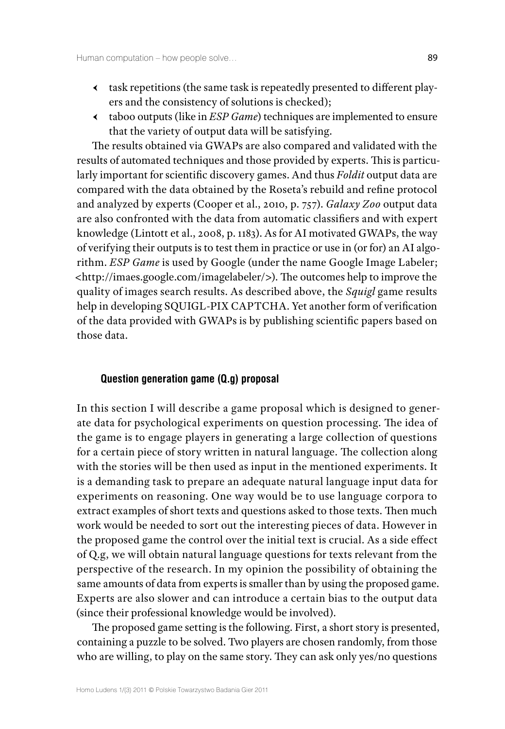- Ԁ task repetitions (the same task is repeatedly presented to different play‑ ers and the consistency of solutions is checked);
- Ԁ taboo outputs (like in *ESP Game*) techniques are implemented to ensure that the variety of output data will be satisfying.

The results obtained via GWAPs are also compared and validated with the results of automated techniques and those provided by experts. This is particularly important for scientific discovery games. And thus *Foldit* output data are compared with the data obtained by the Roseta's rebuild and refine protocol and analyzed by experts (Cooper et al., 2010, p. 757). *Galaxy Zoo* output data are also confronted with the data from automatic classifiers and with expert knowledge (Lintott et al., 2008, p. 1183). As for AI motivated GWAPs, the way of verifying their outputs is to test them in practice or use in (or for) an AI algorithm. *ESP Game* is used by Google (under the name Google Image Labeler; <http://imaes.google.com/imagelabeler/>). The outcomes help to improve the quality of images search results. As described above, the *Squigl* game results help in developing SQUIGL-PIX CAPTCHA. Yet another form of verification of the data provided with GWAPs is by publishing scientific papers based on those data.

#### **Question generation game (Q.g) proposal**

In this section I will describe a game proposal which is designed to generate data for psychological experiments on question processing. The idea of the game is to engage players in generating a large collection of questions for a certain piece of story written in natural language. The collection along with the stories will be then used as input in the mentioned experiments. It is a demanding task to prepare an adequate natural language input data for experiments on reasoning. One way would be to use language corpora to extract examples of short texts and questions asked to those texts. Then much work would be needed to sort out the interesting pieces of data. However in the proposed game the control over the initial text is crucial. As a side effect of Q.g, we will obtain natural language questions for texts relevant from the perspective of the research. In my opinion the possibility of obtaining the same amounts of data from experts is smaller than by using the proposed game. Experts are also slower and can introduce a certain bias to the output data (since their professional knowledge would be involved).

The proposed game setting is the following. First, a short story is presented, containing a puzzle to be solved. Two players are chosen randomly, from those who are willing, to play on the same story. They can ask only yes/no questions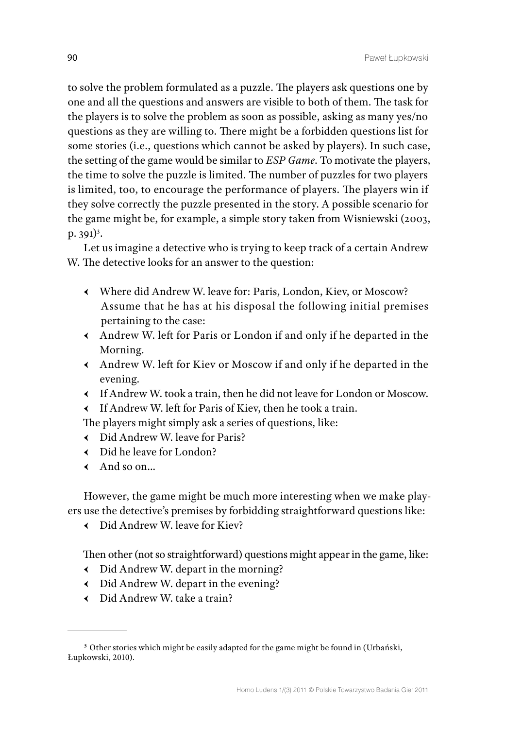to solve the problem formulated as a puzzle. The players ask questions one by one and all the questions and answers are visible to both of them. The task for the players is to solve the problem as soon as possible, asking as many yes/no questions as they are willing to. There might be a forbidden questions list for some stories (i.e., questions which cannot be asked by players). In such case, the setting of the game would be similar to *ESP Game*. To motivate the players, the time to solve the puzzle is limited. The number of puzzles for two players is limited, too, to encourage the performance of players. The players win if they solve correctly the puzzle presented in the story. A possible scenario for the game might be, for example, a simple story taken from Wisniewski (2003,  $p. 391)<sup>3</sup>$ .

Let us imagine a detective who is trying to keep track of a certain Andrew W. The detective looks for an answer to the question:

- Ԁ Where did Andrew W. leave for: Paris, London, Kiev, or Moscow? Assume that he has at his disposal the following initial premises pertaining to the case:
- Ԁ Andrew W. left for Paris or London if and only if he departed in the Morning.
- Ԁ Andrew W. left for Kiev or Moscow if and only if he departed in the evening.
- Ԁ If Andrew W. took a train, then he did not leave for London or Moscow.
- Ԁ If Andrew W. left for Paris of Kiev, then he took a train.

The players might simply ask a series of questions, like:

- Ԁ Did Andrew W. leave for Paris?
- Ԁ Did he leave for London?
- $\leftarrow$  And so on...

However, the game might be much more interesting when we make players use the detective's premises by forbidding straightforward questions like:

 $\leftarrow$  Did Andrew W. leave for Kiev?

Then other (not so straightforward) questions might appear in the game, like:

- Ԁ Did Andrew W. depart in the morning?
- $\leftarrow$  Did Andrew W. depart in the evening?
- $\leftarrow$  Did Andrew W. take a train?

**<sup>3</sup>** Other stories which might be easily adapted for the game might be found in (Urbański, Łupkowski, 2010).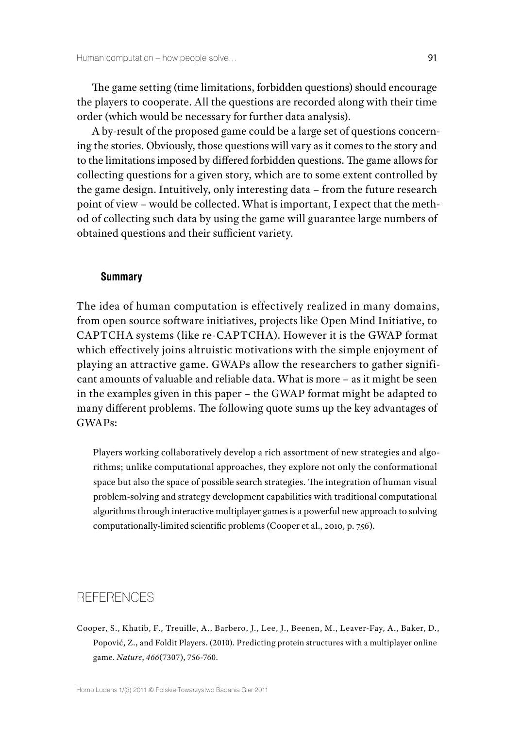The game setting (time limitations, forbidden questions) should encourage the players to cooperate. All the questions are recorded along with their time order (which would be necessary for further data analysis).

A by-result of the proposed game could be a large set of questions concerning the stories. Obviously, those questions will vary as it comes to the story and to the limitations imposed by differed forbidden questions. The game allows for collecting questions for a given story, which are to some extent controlled by the game design. Intuitively, only interesting data – from the future research point of view – would be collected. What is important, I expect that the method of collecting such data by using the game will guarantee large numbers of obtained questions and their sufficient variety.

#### **Summary**

The idea of human computation is effectively realized in many domains, from open source software initiatives, projects like Open Mind Initiative, to CAPTCHA systems (like re‑CAPTCHA). However it is the GWAP format which effectively joins altruistic motivations with the simple enjoyment of playing an attractive game. GWAPs allow the researchers to gather significant amounts of valuable and reliable data. What is more – as it might be seen in the examples given in this paper – the GWAP format might be adapted to many different problems. The following quote sums up the key advantages of GWAPs:

Players working collaboratively develop a rich assortment of new strategies and algorithms; unlike computational approaches, they explore not only the conformational space but also the space of possible search strategies. The integration of human visual problem‑solving and strategy development capabilities with traditional computational algorithms through interactive multiplayer games is a powerful new approach to solving computationally‑limited scientific problems (Cooper et al., 2010, p. 756).

# **REFERENCES**

Cooper, S., Khatib, F., Treuille, A., Barbero, J., Lee, J., Beenen, M., Leaver‑Fay, A., Baker, D., Popović, Z., and Foldit Players. (2010). Predicting protein structures with a multiplayer online game. *Nature*, *466*(7307), 756‑760.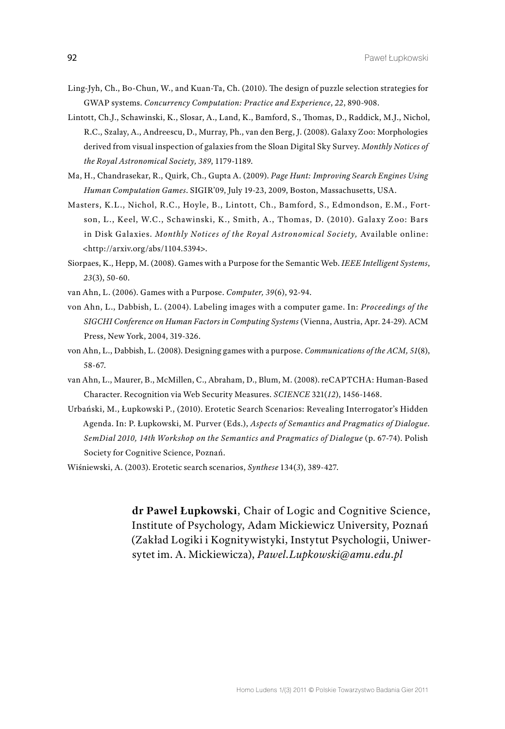- Ling‑Jyh, Ch., Bo‑Chun, W., and Kuan‑Ta, Ch. (2010). The design of puzzle selection strategies for GWAP systems. *Concurrency Computation: Practice and Experience*, *22*, 890‑908.
- Lintott, Ch.J., Schawinski, K., Slosar, A., Land, K., Bamford, S., Thomas, D., Raddick, M.J., Nichol, R.C., Szalay, A., Andreescu, D., Murray, Ph., van den Berg, J. (2008). Galaxy Zoo: Morphologies derived from visual inspection of galaxies from the Sloan Digital Sky Survey. *Monthly Notices of the Royal Astronomical Society, 389*, 1179‑1189.
- Ma, H., Chandrasekar, R., Quirk, Ch., Gupta A. (2009). *Page Hunt: Improving Search Engines Using Human Computation Games*. SIGIR'09, July 19‑23, 2009, Boston, Massachusetts, USA.
- Masters, K.L., Nichol, R.C., Hoyle, B., Lintott, Ch., Bamford, S., Edmondson, E.M., Fortson, L., Keel, W.C., Schawinski, K., Smith, A., Thomas, D. (2010). Galaxy Zoo: Bars in Disk Galaxies. *Monthly Notices of the Royal Astronomical Society,* Available online: <http://arxiv.org/abs/1104.5394>.
- Siorpaes, K., Hepp, M. (2008). Games with a Purpose for the Semantic Web. *IEEE Intelligent Systems*, *23*(3), 50‑60.
- van Ahn, L. (2006). Games with a Purpose. *Computer, 39*(6), 92‑94.
- von Ahn, L., Dabbish, L. (2004). Labeling images with a computer game. In: *Proceedings of the SIGCHI Conference on Human Factors in Computing Systems* (Vienna, Austria, Apr. 24‑29). ACM Press, New York, 2004, 319‑326.
- von Ahn, L., Dabbish, L. (2008). Designing games with a purpose. *Communications of the ACM, 51*(8), 58‑67.
- van Ahn, L., Maurer, B., McMillen, C., Abraham, D., Blum, M. (2008). reCAPTCHA: Human-Based Character. Recognition via Web Security Measures. *SCIENCE* 321(*12*), 1456‑1468.
- Urbański, M., Łupkowski P., (2010). Erotetic Search Scenarios: Revealing Interrogator's Hidden Agenda. In: P. Łupkowski, M. Purver (Eds.), *Aspects of Semantics and Pragmatics of Dialogue. SemDial 2010, 14th Workshop on the Semantics and Pragmatics of Dialogue* (p. 67‑74). Polish Society for Cognitive Science, Poznań.
- Wiśniewski, A. (2003). Erotetic search scenarios, *Synthese* 134(*3*), 389‑427.

**dr Paweł Łupkowski**, Chair of Logic and Cognitive Science, Institute of Psychology, Adam Mickiewicz University, Poznań (Zakład Logiki i Kognitywistyki, Instytut Psychologii, Uniwer‑ sytet im. A. Mickiewicza), *Pawel.Lupkowski@amu.edu.pl*